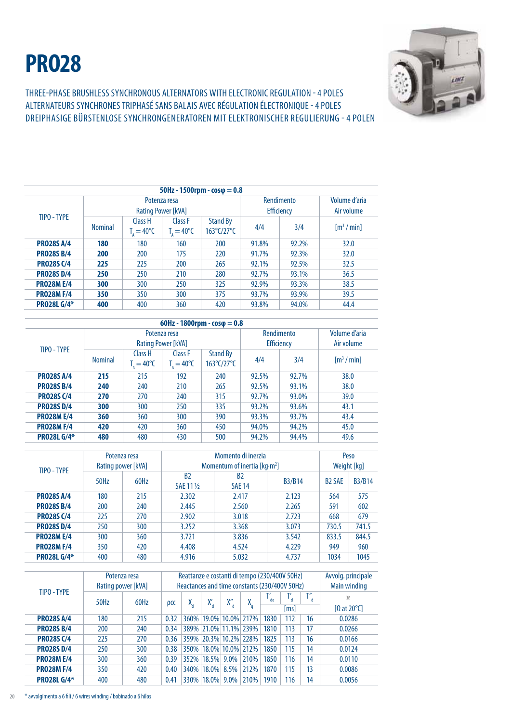## **PRO28**



THREE-PHASE BRUSHLESS SYNCHRONOUS ALTERNATORS WITH ELECTRONIC REGULATION - 4 POLES ALTERNATEURS SYNCHRONES triphasÉ SANS BALAIS AVEC RÉGULATION ÉLECTRONIQUE - 4 POLES dreiphasige BÜRSTENLOSE SYNCHRONGENERATOREN MIT ELEKTRONISCHER REGULIERUNG - 4 POLen

| $50$ Hz - 1500rpm - $cos\phi = 0.8$ |                |                                  |                                           |                                      |                                 |                             |                         |  |  |
|-------------------------------------|----------------|----------------------------------|-------------------------------------------|--------------------------------------|---------------------------------|-----------------------------|-------------------------|--|--|
|                                     |                |                                  | Potenza resa<br><b>Rating Power [kVA]</b> |                                      | Rendimento<br><b>Efficiency</b> | Volume d'aria<br>Air volume |                         |  |  |
| TIPO - TYPE                         | <b>Nominal</b> | Class H<br>$T_{.} = 40^{\circ}C$ | Class F<br>$T_{1} = 40^{\circ}C$          | <b>Stand By</b><br>4/4<br>163°C/27°C |                                 | 3/4                         | $\lceil m^3 / m \rceil$ |  |  |
| <b>PRO28S A/4</b>                   | 180            | 180                              | 160                                       | 200                                  | 91.8%                           | 92.2%                       | 32.0                    |  |  |
| <b>PRO28S B/4</b>                   | 200            | 200                              | 175                                       | 220                                  | 91.7%                           | 92.3%                       | 32.0                    |  |  |
| <b>PRO28S C/4</b>                   | 225            | 225                              | 200                                       | 265                                  | 92.1%                           | 92.5%                       | 32.5                    |  |  |
| <b>PRO28S D/4</b>                   | 250            | 250                              | 210                                       | 280                                  | 92.7%                           | 93.1%                       | 36.5                    |  |  |
| <b>PRO28ME/4</b>                    | 300            | 300                              | 250                                       | 325                                  | 92.9%                           | 93.3%                       | 38.5                    |  |  |
| <b>PRO28M F/4</b>                   | 350            | 350                              | 300                                       | 375                                  | 93.7%                           | 93.9%                       | 39.5                    |  |  |
| <b>PRO28L G/4*</b>                  | 400            | 400                              | 360                                       | 420                                  | 93.8%                           | 94.0%                       | 44.4                    |  |  |

|                    |                |                                                     |                                                     | 60Hz - 1800rpm - $cos\phi = 0.8$ |                                 |                             |                                  |
|--------------------|----------------|-----------------------------------------------------|-----------------------------------------------------|----------------------------------|---------------------------------|-----------------------------|----------------------------------|
| TIPO - TYPE        |                |                                                     | Potenza resa<br><b>Rating Power [kVA]</b>           |                                  | Rendimento<br><b>Efficiency</b> | Volume d'aria<br>Air volume |                                  |
|                    | <b>Nominal</b> | Class H<br>$T_{\scriptscriptstyle A} = 40^{\circ}C$ | Class F<br>$T_{\scriptscriptstyle A} = 40^{\circ}C$ | <b>Stand By</b><br>163°C/27°C    | 4/4                             | 3/4                         | $\lceil m^3 / \text{min} \rceil$ |
| <b>PRO28S A/4</b>  | 215            | 215                                                 | 192                                                 | 240                              | 92.5%                           | 92.7%                       | 38.0                             |
| <b>PRO28S B/4</b>  | 240            | 240                                                 | 210                                                 | 265                              | 92.5%                           | 93.1%                       | 38.0                             |
| <b>PRO28S C/4</b>  | 270            | 270                                                 | 240                                                 | 315                              | 92.7%                           | 93.0%                       | 39.0                             |
| <b>PRO28S D/4</b>  | 300            | 300                                                 | 250                                                 | 335                              | 93.2%                           | 93.6%                       | 43.1                             |
| <b>PRO28M E/4</b>  | 360            | 360                                                 | 300                                                 | 390                              | 93.3%                           | 93.7%                       | 43.4                             |
| <b>PRO28M F/4</b>  | 420            | 420                                                 | 360                                                 | 450                              | 94.0%                           | 94.2%                       | 45.0                             |
| <b>PRO28L G/4*</b> | 480            | 480                                                 | 430                                                 | 500                              | 94.2%                           | 94.4%                       | 49.6                             |

| TIPO - TYPE        | Potenza resa |                    |                                 | Peso                            |               |                          |               |
|--------------------|--------------|--------------------|---------------------------------|---------------------------------|---------------|--------------------------|---------------|
|                    |              | Rating power [kVA] | Momentum of inertia [ $kg·m2$ ] | Weight [kg]                     |               |                          |               |
|                    | 50Hz         | 60Hz               | B <sub>2</sub><br>SAE 11 1/2    | B <sub>2</sub><br><b>SAE 14</b> | <b>B3/B14</b> | <b>B<sub>2</sub> SAE</b> | <b>B3/B14</b> |
| <b>PRO28S A/4</b>  | 180          | 215                | 2.302                           | 2.417                           | 2.123         | 564                      | 575           |
| <b>PRO28S B/4</b>  | 200          | 240                | 2.445                           | 2.560                           | 2.265         | 591                      | 602           |
| <b>PRO28S C/4</b>  | 225          | 270                | 2.902                           | 3.018                           | 2.723         | 668                      | 679           |
| <b>PRO28S D/4</b>  | 250          | 300                | 3.252                           | 3.368                           | 3.073         | 730.5                    | 741.5         |
| <b>PRO28M E/4</b>  | 300          | 360                | 3.721                           | 3.836                           | 3.542         | 833.5                    | 844.5         |
| <b>PRO28M F/4</b>  | 350          | 420                | 4.408                           | 4.524                           | 4.229         | 949                      | 960           |
| <b>PRO28L G/4*</b> | 400          | 480                | 4.916                           | 5.032                           | 4.737         | 1034                     | 1045          |

|                    | Potenza resa       |      | Reattanze e costanti di tempo (230/400V 50Hz) |    |                       |           |        |                   |                          |          | Avvolg. principale |
|--------------------|--------------------|------|-----------------------------------------------|----|-----------------------|-----------|--------|-------------------|--------------------------|----------|--------------------|
| TIPO - TYPE        | Rating power [kVA] |      | Reactances and time constants (230/400V 50Hz) |    |                       |           |        |                   |                          |          | Main winding       |
|                    | 50Hz               | 60Hz | рCC                                           | X, | Х.                    | $X''_{d}$ | χ<br>q | $\Gamma_{\rm do}$ | $\mathsf{T}_\mathsf{d}'$ | Т"<br>d. | R                  |
|                    |                    |      |                                               |    |                       |           |        | [ms]              |                          |          | $\Omega$ at 20°C   |
| <b>PRO28S A/4</b>  | 180                | 215  | 0.32                                          |    | 360% 19.0% 10.0% 217% |           |        | 1830              | 112                      | 16       | 0.0286             |
| <b>PRO28S B/4</b>  | 200                | 240  | 0.34                                          |    | 389% 21.0% 11.1% 239% |           |        | 1810              | 113                      | 17       | 0.0266             |
| <b>PR028S C/4</b>  | 225                | 270  | 0.36                                          |    | 359% 20.3% 10.2% 228% |           |        | 1825              | 113                      | 16       | 0.0166             |
| <b>PR028S D/4</b>  | 250                | 300  | 0.38                                          |    | 350% 18.0% 10.0% 212% |           |        | 1850              | 115                      | 14       | 0.0124             |
| <b>PRO28M E/4</b>  | 300                | 360  | 0.39                                          |    | 352% 18.5%            | 9.0%      | 210%   | 1850              | 116                      | 14       | 0.0110             |
| <b>PRO28M F/4</b>  | 350                | 420  | 0.40                                          |    | 340% 18.0% 8.5%       |           | 212%   | 1870              | 115                      | 13       | 0.0086             |
| <b>PRO28L G/4*</b> | 400                | 480  | 0.41                                          |    | 330% 18.0%            | 9.0%      | 210%   | 1910              | 116                      | 14       | 0.0056             |